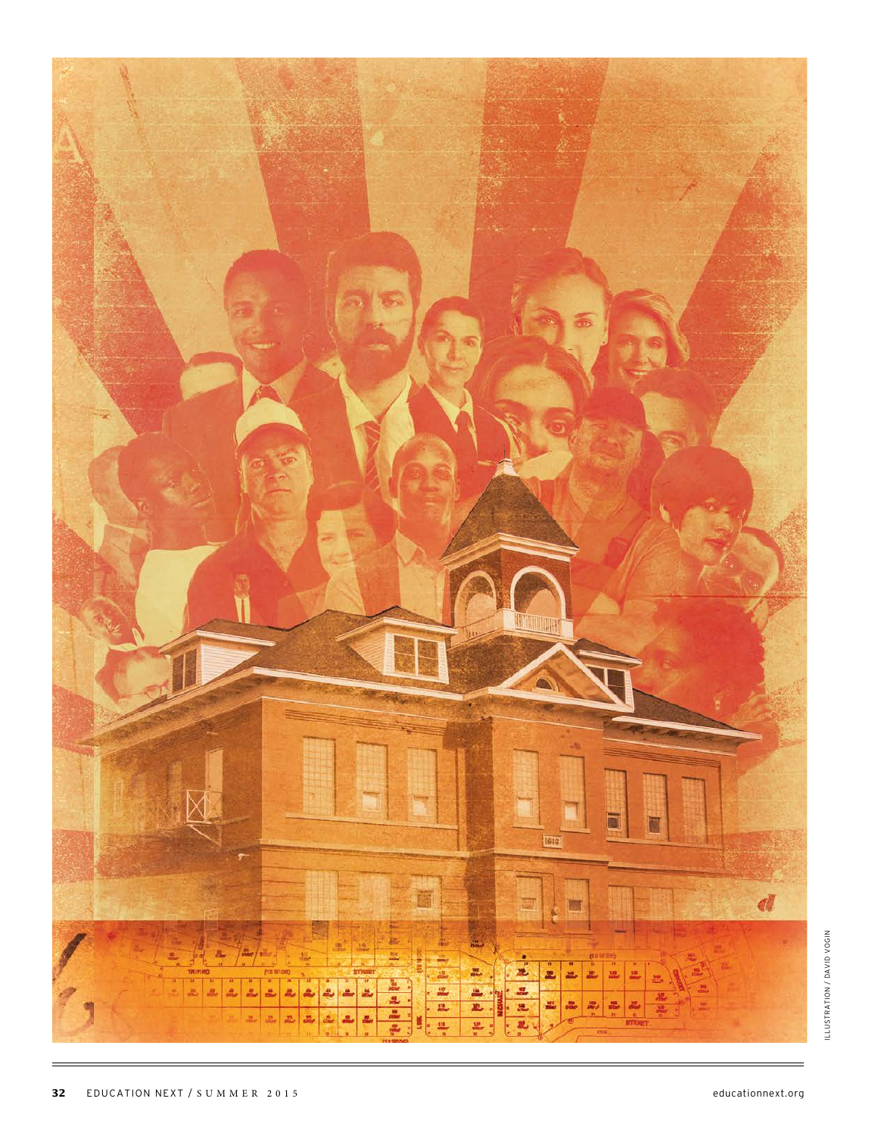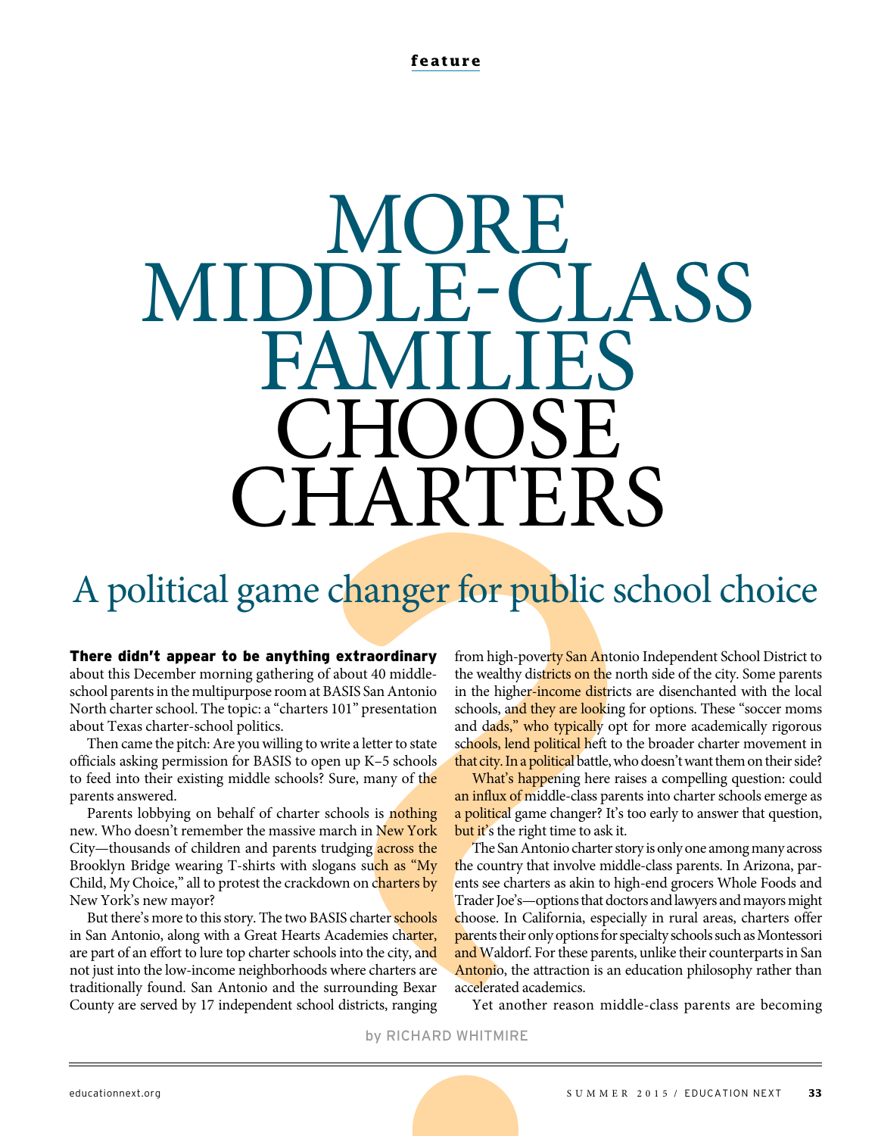**feature**

# **MORE** MIDDLE-CLASS FAMILIES CHOOSE CHARTERS

# A political game changer for public school choice

### There didn't appear to be anything extraordinary

about this December morning gathering of about 40 middleschool parents in the multipurpose room at BASIS San Antonio North charter school. The topic: a "charters 101" presentation about Texas charter-school politics.

Then came the pitch: Are you willing to write a letter to state officials asking permission for BASIS to open up K–5 schools to feed into their existing middle schools? Sure, many of the parents answered.

Parents lobbying on behalf of charter schools is nothing new. Who doesn't remember the massive march in New York City—thousands of children and parents trudging across the Brooklyn Bridge wearing T-shirts with slogans such as "My Child, My Choice," all to protest the crackdown on charters by New York's new mayor?

But there's more to this story. The two BASIS charter schools in San Antonio, along with a Great Hearts Academies charter, are part of an effort to lure top charter schools into the city, and not just into the low-income neighborhoods where charters are traditionally found. San Antonio and the surrounding Bexar County are served by 17 independent school districts, ranging

from high-poverty San Antonio Independent School District to the wealthy districts on the north side of the city. Some parents in the higher-income districts are disenchanted with the local schools, and they are looking for options. These "soccer moms and dads," who typically opt for more academically rigorous schools, lend political heft to the broader charter movement in that city. In a political battle, who doesn't want them on their side?

What's happening here raises a compelling question: could an influx of middle-class parents into charter schools emerge as a political game changer? It's too early to answer that question, but it's the right time to ask it.

**EXECTS:**<br>
THE RESERVANCE TO PUBLIC SC<br> **THE RESERVANCE SERVANCE SERVANCE SERVANCE SERVANCE TRANSIS San Antonio In the higher-fincome districts on the north om at BASIS San Antonio in the higher-fincome districts are<br>
nart** The San Antonio charter story is only one among many across the country that involve middle-class parents. In Arizona, parents see charters as akin to high-end grocers Whole Foods and Trader Joe's—options that doctors and lawyers and mayors might choose. In California, especially in rural areas, charters offer parents their only options for specialty schools such as Montessori and Waldorf. For these parents, unlike their counterparts in San Antonio, the attraction is an education philosophy rather than accelerated academics.

Yet another reason middle-class parents are becoming

by RICHARD WHITMIRE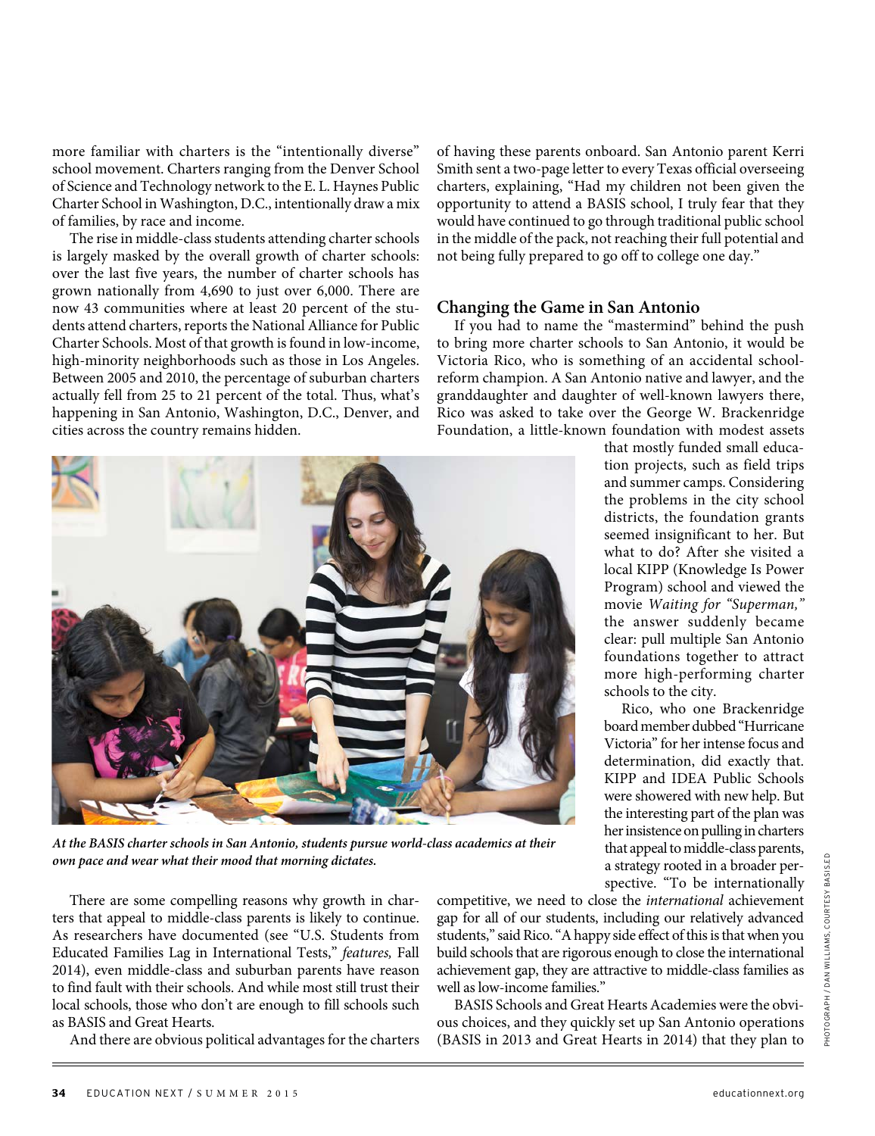more familiar with charters is the "intentionally diverse" school movement. Charters ranging from the Denver School of Science and Technology network to the E. L. Haynes Public Charter School in Washington, D.C., intentionally draw a mix of families, by race and income.

The rise in middle-class students attending charter schools is largely masked by the overall growth of charter schools: over the last five years, the number of charter schools has grown nationally from 4,690 to just over 6,000. There are now 43 communities where at least 20 percent of the students attend charters, reports the National Alliance for Public Charter Schools. Most of that growth is found in low-income, high-minority neighborhoods such as those in Los Angeles. Between 2005 and 2010, the percentage of suburban charters actually fell from 25 to 21 percent of the total. Thus, what's happening in San Antonio, Washington, D.C., Denver, and cities across the country remains hidden.



**At the BASIS charter schools in San Antonio, students pursue world-class academics at their own pace and wear what their mood that morning dictates.**

There are some compelling reasons why growth in charters that appeal to middle-class parents is likely to continue. As researchers have documented (see "U.S. Students from Educated Families Lag in International Tests," features, Fall 2014), even middle-class and suburban parents have reason to find fault with their schools. And while most still trust their local schools, those who don't are enough to fill schools such as BASIS and Great Hearts.

And there are obvious political advantages for the charters

of having these parents onboard. San Antonio parent Kerri Smith sent a two-page letter to every Texas official overseeing charters, explaining, "Had my children not been given the opportunity to attend a BASIS school, I truly fear that they would have continued to go through traditional public school in the middle of the pack, not reaching their full potential and not being fully prepared to go off to college one day."

### **Changing the Game in San Antonio**

If you had to name the "mastermind" behind the push to bring more charter schools to San Antonio, it would be Victoria Rico, who is something of an accidental schoolreform champion. A San Antonio native and lawyer, and the granddaughter and daughter of well-known lawyers there, Rico was asked to take over the George W. Brackenridge Foundation, a little-known foundation with modest assets

that mostly funded small education projects, such as field trips and summer camps. Considering the problems in the city school districts, the foundation grants seemed insignificant to her. But what to do? After she visited a local KIPP (Knowledge Is Power Program) school and viewed the movie Waiting for "Superman," the answer suddenly became clear: pull multiple San Antonio foundations together to attract more high-performing charter schools to the city.

Rico, who one Brackenridge board member dubbed "Hurricane Victoria" for her intense focus and determination, did exactly that. KIPP and IDEA Public Schools were showered with new help. But the interesting part of the plan was her insistence on pulling in charters that appeal to middle-class parents, a strategy rooted in a broader perspective. "To be internationally

competitive, we need to close the international achievement gap for all of our students, including our relatively advanced students," said Rico. "A happy side effect of this is that when you build schools that are rigorous enough to close the international achievement gap, they are attractive to middle-class families as well as low-income families."

BASIS Schools and Great Hearts Academies were the obvious choices, and they quickly set up San Antonio operations (BASIS in 2013 and Great Hearts in 2014) that they plan to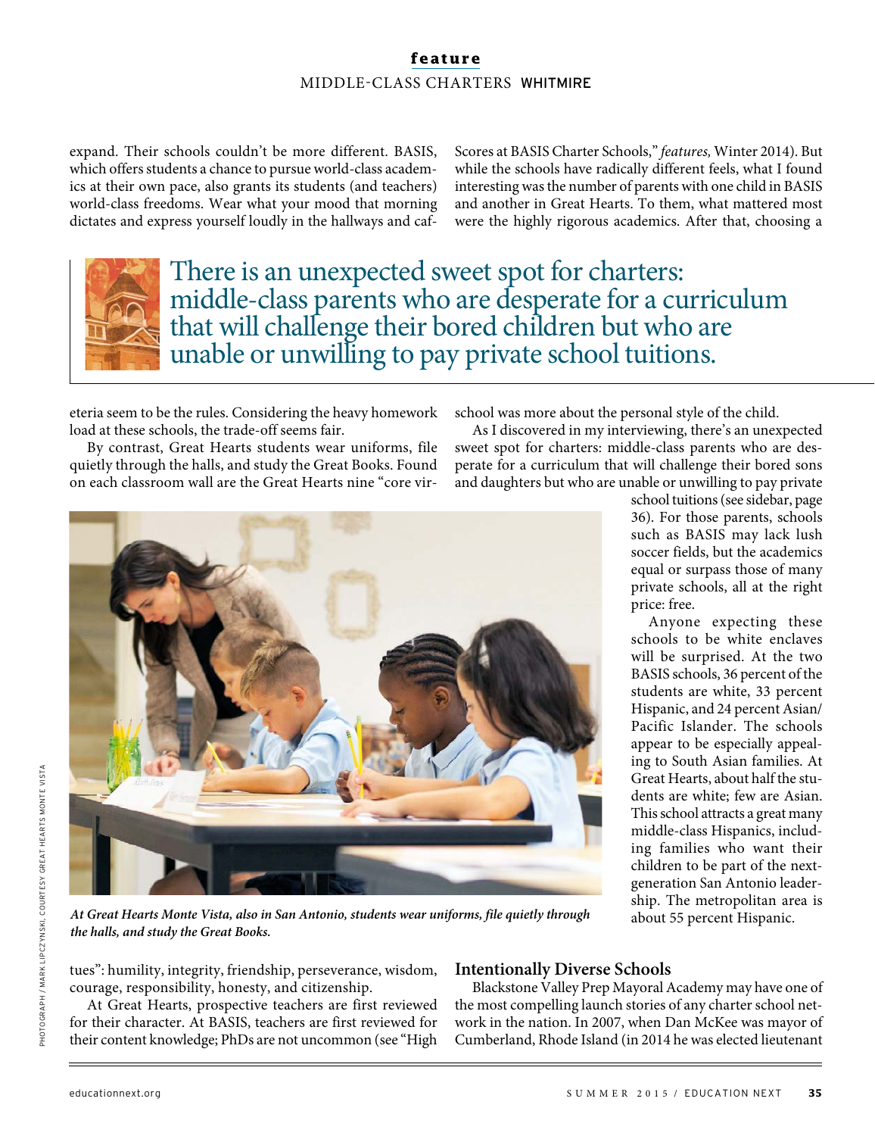# **feature** MIDDLE-CLASS CHARTERS WHITMIRE

expand. Their schools couldn't be more different. BASIS, which offers students a chance to pursue world-class academics at their own pace, also grants its students (and teachers) world-class freedoms. Wear what your mood that morning dictates and express yourself loudly in the hallways and cafScores at BASIS Charter Schools," features, Winter 2014). But while the schools have radically different feels, what I found interesting was the number of parents with one child in BASIS and another in Great Hearts. To them, what mattered most were the highly rigorous academics. After that, choosing a



There is an unexpected sweet spot for charters: middle-class parents who are desperate for a curriculum that will challenge their bored children but who are unable or unwilling to pay private school tuitions.

eteria seem to be the rules. Considering the heavy homework load at these schools, the trade-off seems fair.

By contrast, Great Hearts students wear uniforms, file quietly through the halls, and study the Great Books. Found on each classroom wall are the Great Hearts nine "core virschool was more about the personal style of the child.

As I discovered in my interviewing, there's an unexpected sweet spot for charters: middle-class parents who are desperate for a curriculum that will challenge their bored sons and daughters but who are unable or unwilling to pay private



school tuitions (see sidebar, page 36). For those parents, schools such as BASIS may lack lush soccer fields, but the academics equal or surpass those of many private schools, all at the right price: free.

Anyone expecting these schools to be white enclaves will be surprised. At the two BASIS schools, 36 percent of the students are white, 33 percent Hispanic, and 24 percent Asian/ Pacific Islander. The schools appear to be especially appealing to South Asian families. At Great Hearts, about half the students are white; few are Asian. This school attracts a great many middle-class Hispanics, including families who want their children to be part of the nextgeneration San Antonio leadership. The metropolitan area is about 55 percent Hispanic.

**At Great Hearts Monte Vista, also in San Antonio, students wear uniforms, file quietly through the halls, and study the Great Books.**

tues": humility, integrity, friendship, perseverance, wisdom, courage, responsibility, honesty, and citizenship.

# **Intentionally Diverse Schools**

At Great Hearts, prospective teachers are first reviewed for their character. At BASIS, teachers are first reviewed for their content knowledge; PhDs are not uncommon (see "High

Blackstone Valley Prep Mayoral Academy may have one of the most compelling launch stories of any charter school network in the nation. In 2007, when Dan McKee was mayor of Cumberland, Rhode Island (in 2014 he was elected lieutenant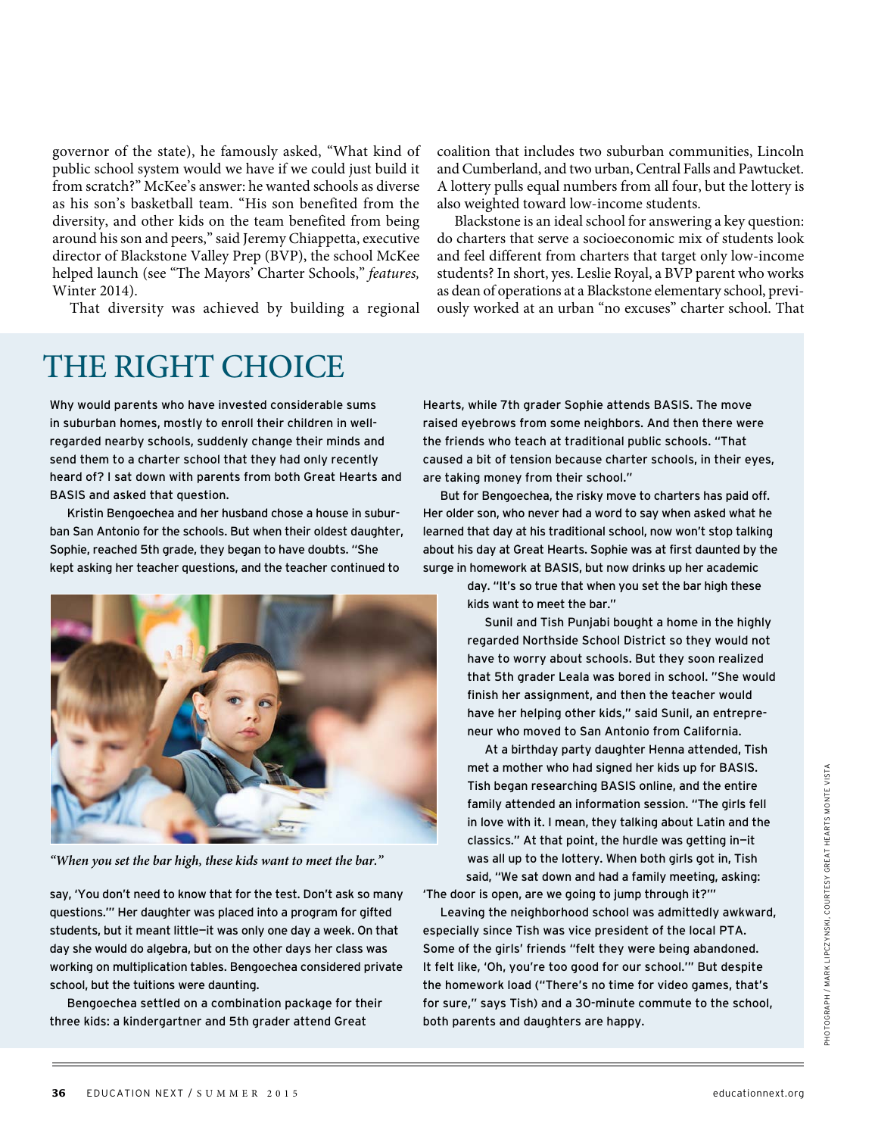governor of the state), he famously asked, "What kind of public school system would we have if we could just build it from scratch?" McKee's answer: he wanted schools as diverse as his son's basketball team. "His son benefited from the diversity, and other kids on the team benefited from being around his son and peers," said Jeremy Chiappetta, executive director of Blackstone Valley Prep (BVP), the school McKee helped launch (see "The Mayors' Charter Schools," features, Winter 2014).

That diversity was achieved by building a regional

THE RIGHT CHOICE

Why would parents who have invested considerable sums in suburban homes, mostly to enroll their children in wellregarded nearby schools, suddenly change their minds and send them to a charter school that they had only recently heard of? I sat down with parents from both Great Hearts and BASIS and asked that question.

Kristin Bengoechea and her husband chose a house in suburban San Antonio for the schools. But when their oldest daughter, Sophie, reached 5th grade, they began to have doubts. "She kept asking her teacher questions, and the teacher continued to



**"When you set the bar high, these kids want to meet the bar."** 

say, 'You don't need to know that for the test. Don't ask so many questions.'" Her daughter was placed into a program for gifted students, but it meant little—it was only one day a week. On that day she would do algebra, but on the other days her class was working on multiplication tables. Bengoechea considered private school, but the tuitions were daunting.

Bengoechea settled on a combination package for their three kids: a kindergartner and 5th grader attend Great

coalition that includes two suburban communities, Lincoln and Cumberland, and two urban, Central Falls and Pawtucket. A lottery pulls equal numbers from all four, but the lottery is also weighted toward low-income students.

Blackstone is an ideal school for answering a key question: do charters that serve a socioeconomic mix of students look and feel different from charters that target only low-income students? In short, yes. Leslie Royal, a BVP parent who works as dean of operations at a Blackstone elementary school, previously worked at an urban "no excuses" charter school. That

Hearts, while 7th grader Sophie attends BASIS. The move raised eyebrows from some neighbors. And then there were the friends who teach at traditional public schools. "That caused a bit of tension because charter schools, in their eyes, are taking money from their school."

But for Bengoechea, the risky move to charters has paid off. Her older son, who never had a word to say when asked what he learned that day at his traditional school, now won't stop talking about his day at Great Hearts. Sophie was at first daunted by the surge in homework at BASIS, but now drinks up her academic

> day. "It's so true that when you set the bar high these kids want to meet the bar."

Sunil and Tish Punjabi bought a home in the highly regarded Northside School District so they would not have to worry about schools. But they soon realized that 5th grader Leala was bored in school. "She would finish her assignment, and then the teacher would have her helping other kids," said Sunil, an entrepreneur who moved to San Antonio from California.

At a birthday party daughter Henna attended, Tish met a mother who had signed her kids up for BASIS. Tish began researching BASIS online, and the entire family attended an information session. "The girls fell in love with it. I mean, they talking about Latin and the classics." At that point, the hurdle was getting in—it was all up to the lottery. When both girls got in, Tish said, "We sat down and had a family meeting, asking:

'The door is open, are we going to jump through it?'"

Leaving the neighborhood school was admittedly awkward, especially since Tish was vice president of the local PTA. Some of the girls' friends "felt they were being abandoned. It felt like, 'Oh, you're too good for our school.'" But despite the homework load ("There's no time for video games, that's for sure," says Tish) and a 30-minute commute to the school, both parents and daughters are happy.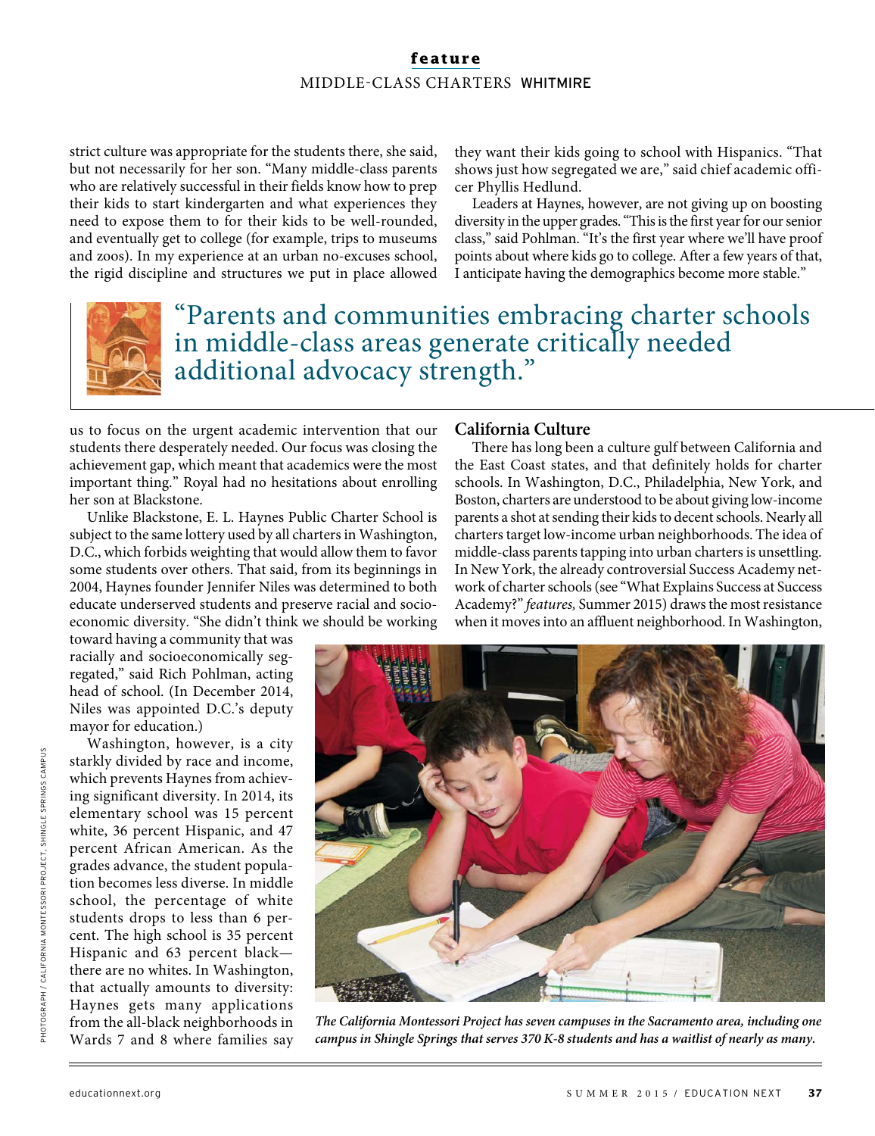# **feature** MIDDLE-CLASS CHARTERS WHITMIRE

strict culture was appropriate for the students there, she said, but not necessarily for her son. "Many middle-class parents who are relatively successful in their fields know how to prep their kids to start kindergarten and what experiences they need to expose them to for their kids to be well-rounded, and eventually get to college (for example, trips to museums and zoos). In my experience at an urban no-excuses school, the rigid discipline and structures we put in place allowed

they want their kids going to school with Hispanics. "That shows just how segregated we are," said chief academic officer Phyllis Hedlund.

Leaders at Haynes, however, are not giving up on boosting diversity in the upper grades. "This is the first year for our senior class," said Pohlman. "It's the first year where we'll have proof points about where kids go to college. After a few years of that, I anticipate having the demographics become more stable."



"Parents and communities embracing charter schools in middle-class areas generate critically needed additional advocacy strength."

us to focus on the urgent academic intervention that our students there desperately needed. Our focus was closing the achievement gap, which meant that academics were the most important thing." Royal had no hesitations about enrolling her son at Blackstone.

Unlike Blackstone, E. L. Haynes Public Charter School is subject to the same lottery used by all charters in Washington, D.C., which forbids weighting that would allow them to favor some students over others. That said, from its beginnings in 2004, Haynes founder Jennifer Niles was determined to both educate underserved students and preserve racial and socioeconomic diversity. "She didn't think we should be working

toward having a community that was racially and socioeconomically segregated," said Rich Pohlman, acting head of school. (In December 2014, Niles was appointed D.C.'s deputy mayor for education.)

Washington, however, is a city starkly divided by race and income, which prevents Haynes from achieving significant diversity. In 2014, its elementary school was 15 percent white, 36 percent Hispanic, and 47 percent African American. As the grades advance, the student population becomes less diverse. In middle school, the percentage of white students drops to less than 6 percent. The high school is 35 percent Hispanic and 63 percent black there are no whites. In Washington, that actually amounts to diversity: Haynes gets many applications from the all-black neighborhoods in Wards 7 and 8 where families say

## **California Culture**

There has long been a culture gulf between California and the East Coast states, and that definitely holds for charter schools. In Washington, D.C., Philadelphia, New York, and Boston, charters are understood to be about giving low-income parents a shot at sending their kids to decent schools. Nearly all charters target low-income urban neighborhoods. The idea of middle-class parents tapping into urban charters is unsettling. In New York, the already controversial Success Academy network of charter schools (see "What Explains Success at Success Academy?" features, Summer 2015) draws the most resistance when it moves into an affluent neighborhood. In Washington,



**The California Montessori Project has seven campuses in the Sacramento area, including one campus in Shingle Springs that serves 370 K-8 students and has a waitlist of nearly as many.**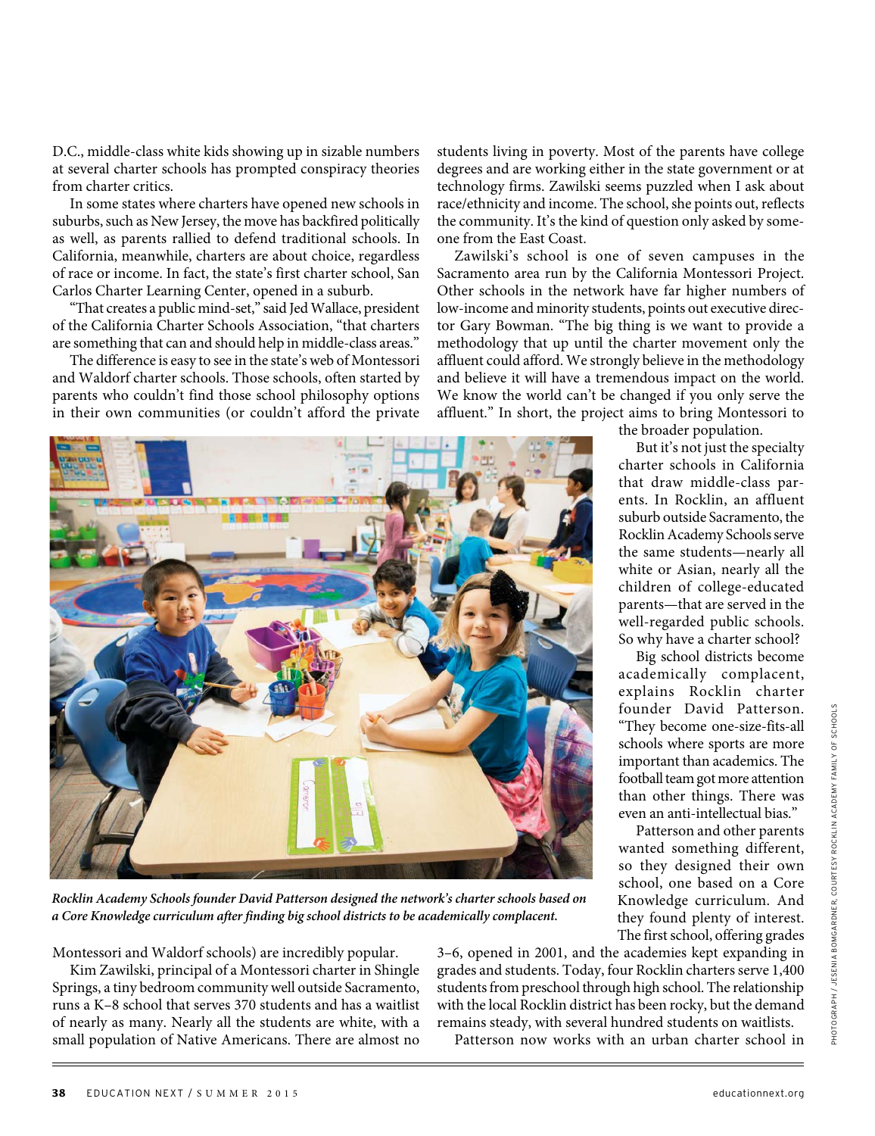D.C., middle-class white kids showing up in sizable numbers at several charter schools has prompted conspiracy theories from charter critics.

In some states where charters have opened new schools in suburbs, such as New Jersey, the move has backfired politically as well, as parents rallied to defend traditional schools. In California, meanwhile, charters are about choice, regardless of race or income. In fact, the state's first charter school, San Carlos Charter Learning Center, opened in a suburb.

"That creates a public mind-set," said Jed Wallace, president of the California Charter Schools Association, "that charters are something that can and should help in middle-class areas."

The difference is easy to see in the state's web of Montessori and Waldorf charter schools. Those schools, often started by parents who couldn't find those school philosophy options in their own communities (or couldn't afford the private students living in poverty. Most of the parents have college degrees and are working either in the state government or at technology firms. Zawilski seems puzzled when I ask about race/ethnicity and income. The school, she points out, reflects the community. It's the kind of question only asked by someone from the East Coast.

Zawilski's school is one of seven campuses in the Sacramento area run by the California Montessori Project. Other schools in the network have far higher numbers of low-income and minority students, points out executive director Gary Bowman. "The big thing is we want to provide a methodology that up until the charter movement only the affluent could afford. We strongly believe in the methodology and believe it will have a tremendous impact on the world. We know the world can't be changed if you only serve the affluent." In short, the project aims to bring Montessori to



**Rocklin Academy Schools founder David Patterson designed the network's charter schools based on a Core Knowledge curriculum after finding big school districts to be academically complacent.**

Montessori and Waldorf schools) are incredibly popular.

Kim Zawilski, principal of a Montessori charter in Shingle Springs, a tiny bedroom community well outside Sacramento, runs a K–8 school that serves 370 students and has a waitlist of nearly as many. Nearly all the students are white, with a small population of Native Americans. There are almost no 3–6, opened in 2001, and the academies kept expanding in grades and students. Today, four Rocklin charters serve 1,400 students from preschool through high school. The relationship with the local Rocklin district has been rocky, but the demand remains steady, with several hundred students on waitlists.

Patterson now works with an urban charter school in

the broader population.

But it's not just the specialty charter schools in California that draw middle-class parents. In Rocklin, an affluent suburb outside Sacramento, the Rocklin Academy Schools serve the same students—nearly all white or Asian, nearly all the children of college-educated parents—that are served in the well-regarded public schools. So why have a charter school?

Big school districts become academically complacent, explains Rocklin charter founder David Patterson. "They become one-size-fits-all schools where sports are more important than academics. The football team got more attention than other things. There was even an anti-intellectual bias."

Patterson and other parents wanted something different, so they designed their own school, one based on a Core Knowledge curriculum. And they found plenty of interest. The first school, offering grades